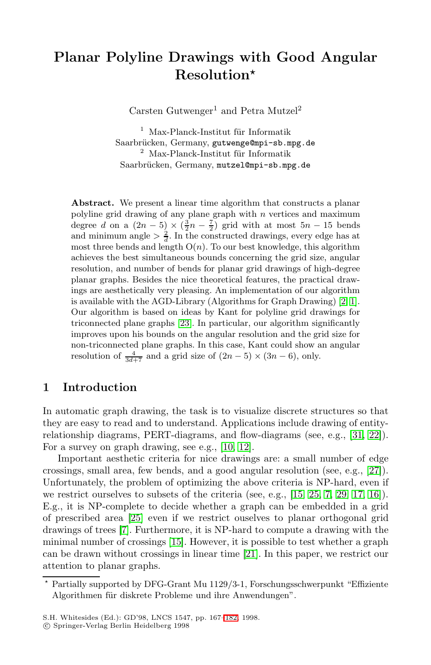# **Planar Polyline Drawings with [G](#page-15-0)ood Angular Re[sol](#page-14-0)[ut](#page-15-1)[io](#page-13-0)[n](#page-15-2)***?*

Carsten Gutwenger<sup>1</sup> and Petra Mutzel<sup>2</sup>

 $^{\rm 1}$ [Max](#page-14-1)-Planck-Institut für Informatik Saarbrücken, Germany, gutwenge@mpi-sb.mpg.de  $^{\rm 2}$ Max-Planck-Institut für Informatik Saarbrücken, Germany, mutzel@mpi-sb.mpg.de

**Abstract.** W[e](#page-15-3) [pre](#page-15-3)sent a linear time algorithm that constructs a planar polyline grid drawing of any plane graph with  $n$  vertices and maximum degree d on a  $(2n-5) \times (\frac{3}{2}n - \frac{7}{2})$  grid with at most  $5n - 15$  bends and minimum angle  $>\frac{2}{d}$ . In the constructed drawings, every edge has at most three bends and length  $O(n)$ . To our best knowledge, this algorithm achieves the best simultaneous bounds concerning the grid size, angular resolution, and number of bends for planar grid drawings of high-degree planar graphs. Besides the nice theoretical features, the practical drawings are aesthetically very pleasing. An implementation of our algorithm is available with the AGD-Library (Algorithms for Graph Drawing) [2, 1]. Our algorithm is based on ideas by Kant for polyline grid drawings for triconnected plane graphs [23]. In particular, our algorithm significantly improves upon his bounds on the angular resolution and the grid size for non-triconnected plane graphs. In this case, Kant could show an angular resolution of  $\frac{4}{3d+7}$  and a grid size of  $(2n-5) \times (3n-6)$ , only.

## **1 Introduction**

In automatic graph drawing, the task is to visualize discrete structures so that they are easy to read and to understand. Applications include drawing of entityrelationship diagrams, PERT-diagrams, and flow-diagrams (see, e.g., [31, 22]). For a survey on graph drawing, see e.g., [10, 12].

Important aesthetic criteria for nice drawings are: a small number of edge crossings, small area, few bends, and a good angular resolution (see, e.g., [27]).

Unfortunately, the problem of optimizing the above criteria is NP-hard, even if we restrict ourselves to subsets of the criteria (see, e.g., [15, 25, 7, 29, 17, 16]). E.g., it is NP-complete to decide whether a graph can be embedded in a grid of prescribed area [25] even if we restrict ouselves to planar orthogonal grid drawings of trees [7]. Furthermore, it is NP-hard to compute a drawing with the minimal number of crossings [15]. However, it is possible to test whether a graph can be drawn without crossings in linear time [21]. In this paper, we restrict our attention to planar graphs.

 $^\star$  Partially supported by DFG-Grant Mu 1129/3-1, Forschungsschwerpunkt "Effiziente Algorithmen für diskrete Probleme und ihre Anwendungen".

S.H. Whitesides (Ed.): GD'98, LNCS 1547, pp. 167–182, 1998. c Springer-Verlag Berlin Heidelberg 1998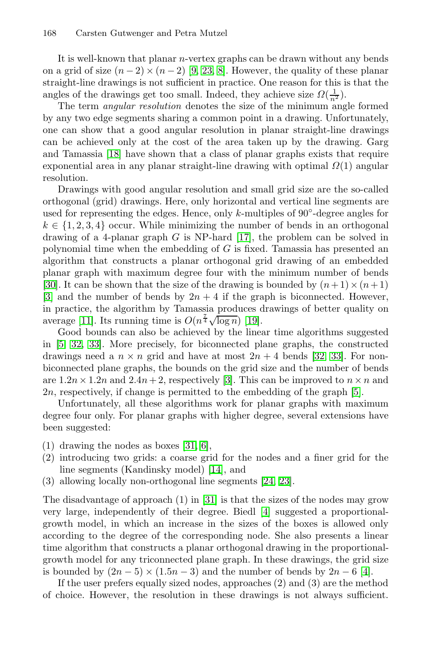It is well-known that planar n-vertex graphs can be drawn without any bends on a grid of size  $(n-2) \times (n-2)$  [\[9,](#page-14-2) [23,](#page-14-3) [8\]](#page-14-4). However, the quality of these planar straight-line drawings is not sufficient in practice. One reason for this is that the angles of the drawings get too small. Indeed, they achieve size  $\Omega(\frac{1}{n^2})$ .

The term *angular resolution* denotes the size of the minimum angle formed by any two edge segments sharing a common point in a drawing. Unfortunately, one can show that a good angular resolution in planar straight-line drawings can be achieved only at the cost of the area taken up by the drawing. Garg and Tamassia [\[18\]](#page-14-5) have shown that a class of planar graphs exists that require exponential area in any planar straight-line drawing with optimal  $\Omega(1)$  angular resolution.

Drawings with good angular resolution and small grid size are the so-called orthogonal (grid) drawings. Here, only horizontal and vertical line segments are used for representing the edges. Hence, only k-multiples of 90◦-degree angles for  $k \in \{1, 2, 3, 4\}$  occur. While minimizing the number of bends in an orthogonal drawing of a 4-planar graph  $G$  is NP-hard [\[17\]](#page-14-6), the problem can be solved in polynomial time when the embedding of  $G$  is fixed. Tamassia has presented an algorithm that constructs a planar orthogonal grid drawing of an embedded planar graph with maximum degree four with the minimum number of bends [\[30\]](#page-15-4). It can be shown that the size of the drawing is bounded by  $(n+1) \times (n+1)$ [\[3\]](#page-13-1) and the number of bends by  $2n + 4$  if the graph is biconnected. However, in practice, the algorithm by Tamassia produces drawings of better quality on In practice, the algorithm by Tamassia produces d<br>average [\[11\]](#page-14-7). Its running time is  $O(n^{\frac{7}{4}}\sqrt{\log n})$  [\[19\]](#page-14-8).

Good bounds can also be achieved by the linear time algorithms suggested in [\[5,](#page-13-2) [32,](#page-15-5) [33\]](#page-15-6). More precisely, for biconnected plane graphs, the constructed drawings need a  $n \times n$  grid and have at most  $2n + 4$  bends [\[32,](#page-15-5) [33\]](#page-15-6). For nonbiconnected plane graphs, the bounds on the grid size and the number of bends are  $1.2n \times 1.2n$  and  $2.4n+2$ , respectively [\[3\]](#page-13-1). This can be improved to  $n \times n$  and 2n, respectively, if change is permitted to the embedding of the graph [\[5\]](#page-13-2).

Unfortunately, all these algorithms work for planar graphs with maximum degree four only. For planar graphs with higher degree, several extensions have been suggested:

- (1) drawing the nodes as boxes [\[31,](#page-15-7) [6\]](#page-13-3),
- (2) introducing two grids: a coarse grid for the nodes and a finer grid for the line segments (Kandinsky model) [\[14\]](#page-14-9), and
- (3) allowing locally non-orthogonal line segments [\[24,](#page-14-10) [23\]](#page-14-3).

The disadvantage of approach  $(1)$  in  $|31|$  is that the sizes of the nodes may grow very large, independently of their degree. Biedl [\[4\]](#page-13-4) suggested a proportionalgrowth model, in which an increase in the sizes of the boxes is allowed only according to the degree of the corresponding node. She also presents a linear time algorithm that constructs a planar orthogonal drawing in the proportionalgrowth model for any triconnected plane graph. In these drawings, the grid size is bounded by  $(2n-5) \times (1.5n-3)$  and the number of bends by  $2n-6$  [\[4\]](#page-13-4).

If the user prefers equally sized nodes, approaches (2) and (3) are the method of choice. However, the resolution in these drawings is not always sufficient.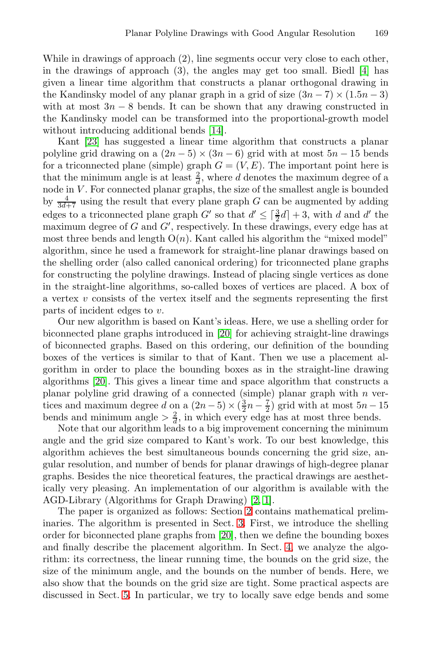While in drawings of approach (2), line segments occur very close to each other, in the drawings of approach (3), the angles may get too small. Biedl [\[4\]](#page-13-4) has given a linear time algorithm that constructs a planar orthogonal drawing in the Kandinsky model of any planar graph in a grid of size  $(3n-7) \times (1.5n-3)$ with at most  $3n - 8$  bends. It can be shown that any drawing constructed in the Kandinsky model can be transformed into the proportional-growth model without introducing additional bends [\[14\]](#page-14-9).

Kant [\[23\]](#page-14-3) has suggested a linear time algorithm that constructs a planar polyline grid drawing on a  $(2n-5) \times (3n-6)$  grid with at most  $5n-15$  bends for a triconnected plane (simple) graph  $G = (V, E)$ . The important point here is that the minimum angle is at least  $\frac{2}{d}$ , where d denotes the maximum degree of a node in  $V$ . For connected planar graphs, the size of the smallest angle is bounded by  $\frac{4}{3d+7}$  using the result that every plane graph G can be augmented by adding edges to a triconnected plane graph  $G'$  so that  $d' \leq \lceil \frac{3}{2}d \rceil + 3$ , with d and d' the maximum degree of G and  $G'$ , respectively. In these drawings, every edge has at most three bends and length  $O(n)$ . Kant called his algorithm the "mixed model" algorithm, since he used a framework for straight-line planar drawings based on the shelling order (also called canonical ordering) for triconnected plane graphs for constructing the polyline drawings. Instead of placing single vertices as done in the straight-line algorithms, so-called boxes of vertices are placed. A box of a vertex  $v$  consists of the vertex itself and the segments representing the first parts of incident edges to v.

Our new algorithm is based on Kant's ideas. Here, we use a shelling order for biconnected plane graphs introduced in [\[20\]](#page-14-11) for achieving straight-line drawings of biconnected graphs. Based on this ordering, our definition of the bounding boxes of the vertices is similar to that of Kant. Then we use a placement algorithm in order to place the bounding boxes as in the straight-line drawing algorithms [\[20\]](#page-14-11). This gives a linear time and space algorithm that constructs a planar polyline grid drawing of a connected (simple) planar graph with  $n$  vertices and maximum degree d on a  $(2n-5) \times (\frac{3}{2}n - \frac{7}{2})$  grid with at most  $5n - 15$ bends and minimum angle  $>\frac{2}{d}$ , in which every edge has at most three bends.

Note that our algorithm leads to a big improvement concerning the minimum angle and the grid size compared to Kant's work. To our best knowledge, this algorithm achieves the best simultaneous bounds concerning the grid size, angular resolution, and number of bends for planar drawings of high-degree planar graphs. Besides the nice theoretical features, the practical drawings are aesthetically very pleasing. An implementation of our algorithm is available with the AGD-Library (Algorithms for Graph Drawing) [\[2,](#page-13-5) [1\]](#page-13-6).

The paper is organized as follows: Section [2](#page-3-0) contains mathematical preliminaries. The algorithm is presented in Sect. [3.](#page-3-1) First, we introduce the shelling order for biconnected plane graphs from [\[20\]](#page-14-11), then we define the bounding boxes and finally describe the placement algorithm. In Sect. [4,](#page-9-0) we analyze the algorithm: its correctness, the linear running time, the bounds on the grid size, the size of the minimum angle, and the bounds on the number of bends. Here, we also show that the bounds on the grid size are tight. Some practical aspects are discussed in Sect. [5.](#page-11-0) In particular, we try to locally save edge bends and some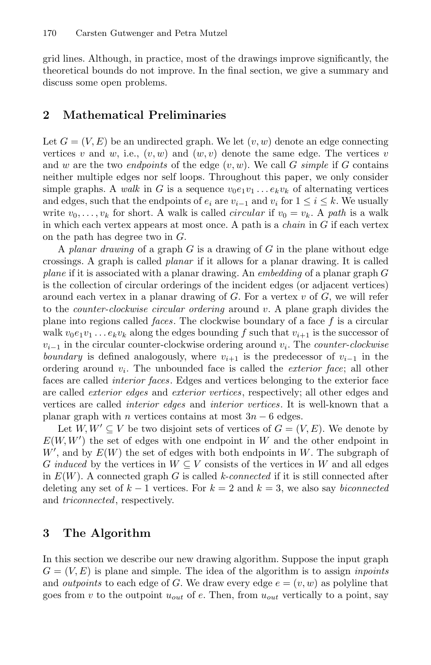grid lines. Although, in practice, most of the drawings improve significantly, the theoretical bounds do not improve. In the final section, we give a summary and discuss some open problems.

## <span id="page-3-0"></span>**2 Mathematical Preliminaries**

Let  $G = (V, E)$  be an undirected graph. We let  $(v, w)$  denote an edge connecting vertices v and w, i.e.,  $(v, w)$  and  $(w, v)$  denote the same edge. The vertices v and w are the two *endpoints* of the edge  $(v, w)$ . We call G *simple* if G contains neither multiple edges nor self loops. Throughout this paper, we only consider simple graphs. A *walk* in G is a sequence  $v_0e_1v_1 \ldots e_kv_k$  of alternating vertices and edges, such that the endpoints of  $e_i$  are  $v_{i-1}$  and  $v_i$  for  $1 \leq i \leq k$ . We usually write  $v_0, \ldots, v_k$  for short. A walk is called *circular* if  $v_0 = v_k$ . A *path* is a walk in which each vertex appears at most once. A path is a *chain* in G if each vertex on the path has degree two in G.

A *planar drawing* of a graph G is a drawing of G in the plane without edge crossings. A graph is called *planar* if it allows for a planar drawing. It is called *plane* if it is associated with a planar drawing. An *embedding* of a planar graph G is the collection of circular orderings of the incident edges (or adjacent vertices) around each vertex in a planar drawing of  $G$ . For a vertex  $v$  of  $G$ , we will refer to the *counter-clockwise circular ordering* around v. A plane graph divides the plane into regions called *faces*. The clockwise boundary of a face f is a circular walk  $v_0e_1v_1 \ldots e_kv_k$  along the edges bounding f such that  $v_{i+1}$  is the successor of <sup>v</sup><sup>i</sup>−<sup>1</sup> in the circular counter-clockwise ordering around <sup>v</sup>i. The *counter-clockwise boundary* is defined analogously, where  $v_{i+1}$  is the predecessor of  $v_{i-1}$  in the ordering around  $v_i$ . The unbounded face is called the *exterior face*; all other faces are called *interior faces*. Edges and vertices belonging to the exterior face are called *exterior edges* and *exterior vertices*, respectively; all other edges and vertices are called *interior edges* and *interior vertices*. It is well-known that a planar graph with *n* vertices contains at most  $3n - 6$  edges.

Let  $W, W' \subseteq V$  be two disjoint sets of vertices of  $G = (V, E)$ . We denote by  $E(W, W')$  the set of edges with one endpoint in W and the other endpoint in  $W'$ , and by  $E(W)$  the set of edges with both endpoints in W. The subgraph of G *induced* by the vertices in  $W \subseteq V$  consists of the vertices in W and all edges in  $E(W)$ . A connected graph G is called *k-connected* if it is still connected after deleting any set of  $k-1$  vertices. For  $k=2$  and  $k=3$ , we also say *biconnected* and *triconnected*, respectively.

# <span id="page-3-1"></span>**3 The Algorithm**

In this section we describe our new drawing algorithm. Suppose the input graph  $G = (V, E)$  is plane and simple. The idea of the algorithm is to assign *inpoints* and *outpoints* to each edge of G. We draw every edge  $e = (v, w)$  as polyline that goes from v to the outpoint  $u_{out}$  of e. Then, from  $u_{out}$  vertically to a point, say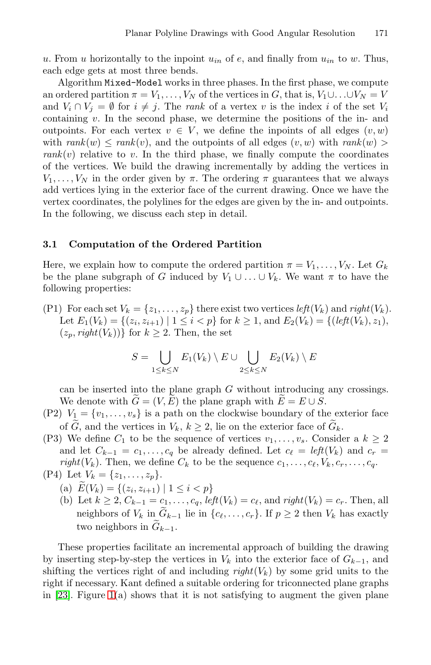u. From u horizontally to the inpoint  $u_{in}$  of e, and finally from  $u_{in}$  to w. Thus, each edge gets at most three bends.

Algorithm Mixed-Model works in three phases. In the first phase, we compute an ordered partition  $\pi = V_1, \ldots, V_N$  of the vertices in G, that is,  $V_1 \cup \ldots \cup V_N = V$ and  $V_i \cap V_j = \emptyset$  for  $i \neq j$ . The *rank* of a vertex v is the index i of the set  $V_i$ containing v. In the second phase, we determine the positions of the in- and outpoints. For each vertex  $v \in V$ , we define the inpoints of all edges  $(v, w)$ with  $rank(w) \leq rank(v)$ , and the outpoints of all edges  $(v, w)$  with  $rank(w)$  $rank(v)$  relative to v. In the third phase, we finally compute the coordinates of the vertices. We build the drawing incrementally by adding the vertices in  $V_1,\ldots,V_N$  in the order given by  $\pi$ . The ordering  $\pi$  guarantees that we always add vertices lying in the exterior face of the current drawing. Once we have the vertex coordinates, the polylines for the edges are given by the in- and outpoints. In the following, we discuss each step in detail.

#### <span id="page-4-0"></span>**3.1 Computation of the Ordered Partition**

Here, we explain how to compute the ordered partition  $\pi = V_1, \ldots, V_N$ . Let  $G_k$ be the plane subgraph of G induced by  $V_1 \cup \ldots \cup V_k$ . We want  $\pi$  to have the following properties:

(P1) For each set  $V_k = \{z_1, \ldots, z_p\}$  there exist two vertices  $left(V_k\right)$  and  $right(V_k)$ . Let  $E_1(V_k) = \{(z_i, z_{i+1}) \mid 1 \leq i < p\}$  for  $k \geq 1$ , and  $E_2(V_k) = \{(left(V_k), z_1\right),$  $(z_p, right(V_k))\}$  for  $k \geq 2$ . Then, the set

$$
S = \bigcup_{1 \leq k \leq N} E_1(V_k) \setminus E \cup \bigcup_{2 \leq k \leq N} E_2(V_k) \setminus E
$$

can be inserted into the plane graph G without introducing any crossings. We denote with  $G = (V, E)$  the plane graph with  $E = E \cup S$ .

- (P2)  $V_1 = \{v_1, \ldots, v_s\}$  is a path on the clockwise boundary of the exterior face of G, and the vertices in  $V_k$ ,  $k \geq 2$ , lie on the exterior face of  $\widetilde{G}_k$ .
- (P3) We define  $C_1$  to be the sequence of vertices  $v_1, \ldots, v_s$ . Consider a  $k \geq 2$ and let  $C_{k-1} = c_1, \ldots, c_q$  be already defined. Let  $c_\ell = \ell eft(V_k)$  and  $c_r =$ *right*( $V_k$ ). Then, we define  $C_k$  to be the sequence  $c_1, \ldots, c_\ell, V_k, c_r, \ldots, c_q$ . (P4) Let  $V_k = \{z\}$

$$
\text{Let } V_k = \{z_1, \ldots, z_p\}.
$$

- (a)  $E(V_k) = \{(z_i, z_{i+1}) \mid 1 \leq i < p\}$
- (b) Let  $k \ge 2$ ,  $C_{k-1} = c_1, \ldots, c_q$ , *left*( $V_k$ ) =  $c_{\ell}$ , and *right*( $V_k$ ) =  $c_r$ . Then, all neighbors of  $V_k$  in  $\widetilde{G}_{k-1}$  lie in  $\{c_\ell,\ldots,c_r\}$ . If  $p \geq 2$  then  $V_k$  has exactly two neighbors in  $G_{k-1}$ .

These properties facilitate an incremental approach of building the drawing by inserting step-by-step the vertices in  $V_k$  into the exterior face of  $G_{k-1}$ , and shifting the vertices right of and including  $right(V_k)$  by some grid units to the right if necessary. Kant defined a suitable ordering for triconnected plane graphs in  $[23]$ . Figure [1\(](#page-5-0)a) shows that it is not satisfying to augment the given plane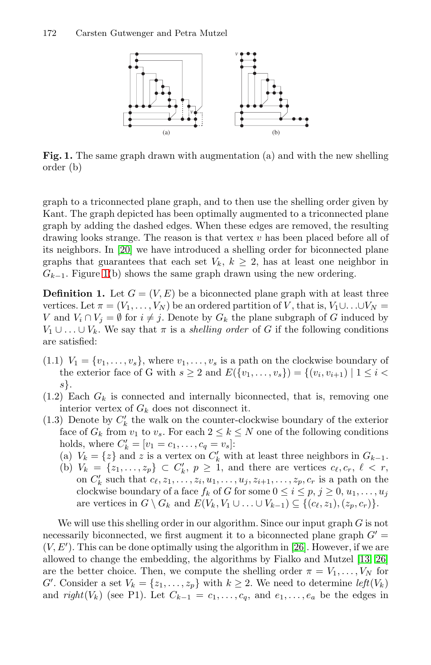

<span id="page-5-0"></span>**Fig. 1.** The same graph drawn with augmentation (a) and with the new shelling order (b)

graph to a triconnected plane graph, and to then use the shelling order given by Kant. The graph depicted has been optimally augmented to a triconnected plane graph by adding the dashed edges. When these edges are removed, the resulting drawing looks strange. The reason is that vertex  $v$  has been placed before all of its neighbors. In [\[20\]](#page-14-11) we have introduced a shelling order for biconnected plane graphs that guarantees that each set  $V_k$ ,  $k \geq 2$ , has at least one neighbor in  $G_{k-1}$ . Figure [1\(](#page-5-0)b) shows the same graph drawn using the new ordering.

<span id="page-5-1"></span>**Definition 1.** Let  $G = (V, E)$  be a biconnected plane graph with at least three vertices. Let  $\pi = (V_1, \ldots, V_N)$  be an ordered partition of V, that is,  $V_1 \cup \ldots \cup V_N =$ V and  $V_i \cap V_j = \emptyset$  for  $i \neq j$ . Denote by  $G_k$  the plane subgraph of G induced by  $V_1 \cup \ldots \cup V_k$ . We say that  $\pi$  is a *shelling order* of G if the following conditions are satisfied:

- $(1.1)$   $V_1 = \{v_1, \ldots, v_s\}$ , where  $v_1, \ldots, v_s$  is a path on the clockwise boundary of the exterior face of G with  $s \geq 2$  and  $E({v_1,\ldots,v_s}) = {(v_i,v_{i+1}) \mid 1 \leq i \leq s}$ s}.
- $(1.2)$  Each  $G_k$  is connected and internally biconnected, that is, removing one interior vertex of  $G_k$  does not disconnect it.
- (1.3) Denote by  $C'_{k}$  the walk on the counter-clockwise boundary of the exterior face of  $G_k$  from  $v_1$  to  $v_s$ . For each  $2 \leq k \leq N$  one of the following conditions holds, where  $C'_{k} = [v_1 = c_1, ..., c_q = v_s]$ :
	- (a)  $V_k = \{z\}$  and z is a vertex on  $C'_k$  with at least three neighbors in  $G_{k-1}$ .
	- (b)  $V_k = \{z_1, \ldots, z_p\} \subset C'_k, p \geq 1$ , and there are vertices  $c_\ell, c_r, \ell < r$ , on  $C'_k$  such that  $c_\ell, z_1, \ldots, z_i, u_1, \ldots, u_j, z_{i+1}, \ldots, z_p, c_r$  is a path on the clockwise boundary of a face  $f_k$  of G for some  $0 \leq i \leq p, j \geq 0, u_1, \ldots, u_j$ are vertices in  $G \setminus G_k$  and  $E(V_k, V_1 \cup \ldots \cup V_{k-1}) \subseteq \{(c_{\ell}, z_1), (z_p, c_r)\}.$

We will use this shelling order in our algorithm. Since our input graph  $G$  is not necessarily biconnected, we first augment it to a biconnected plane graph  $G' =$  $(V, E')$ . This can be done optimally using the algorithm in [\[26\]](#page-15-8). However, if we are allowed to change the embedding, the algorithms by Fialko and Mutzel [\[13,](#page-14-12) [26\]](#page-15-8) are the better choice. Then, we compute the shelling order  $\pi = V_1, \ldots, V_N$  for G'. Consider a set  $V_k = \{z_1, \ldots, z_p\}$  with  $k \geq 2$ . We need to determine  $\text{left}(V_k)$ and *right*( $V_k$ ) (see P1). Let  $C_{k-1} = c_1, \ldots, c_q$ , and  $e_1, \ldots, e_a$  be the edges in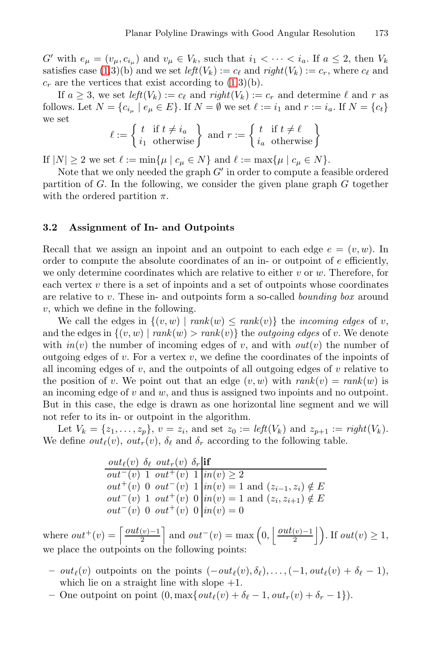G' with  $e_{\mu} = (v_{\mu}, c_{i_{\mu}})$  and  $v_{\mu} \in V_k$ , such that  $i_1 < \cdots < i_a$ . If  $a \leq 2$ , then  $V_k$ satisfies case  $(1.3)(b)$  $(1.3)(b)$  and we set  $left(V_k) := c_\ell$  and  $right(V_k) := c_r$ , where  $c_\ell$  and  $c_r$  are the vertices that exist according to  $(1.3)(b)$  $(1.3)(b)$ .

If  $a \geq 3$ , we set  $left(V_k) := c_\ell$  and  $right(V_k) := c_r$  and determine  $\ell$  and r as follows. Let  $N = \{c_{i\mu} \mid e_{\mu} \in E\}$ . If  $N = \emptyset$  we set  $\ell := i_1$  and  $r := i_a$ . If  $N = \{c_t\}$ we set

$$
\ell := \left\{ \begin{array}{l} t & \text{if } t \neq i_a \\ i_1 & \text{otherwise} \end{array} \right\} \text{ and } r := \left\{ \begin{array}{l} t & \text{if } t \neq \ell \\ i_a & \text{otherwise} \end{array} \right\}
$$

If  $|N| \geq 2$  we set  $\ell := \min\{\mu \mid c_{\mu} \in N\}$  and  $\ell := \max\{\mu \mid c_{\mu} \in N\}.$ 

Note that we only needed the graph  $G'$  in order to compute a feasible ordered partition of G. In the following, we consider the given plane graph  $G$  together with the ordered partition  $\pi$ .

#### <span id="page-6-0"></span>**3.2 Assignment of In- and Outpoints**

Recall that we assign an inpoint and an outpoint to each edge  $e = (v, w)$ . In order to compute the absolute coordinates of an in- or outpoint of  $e$  efficiently, we only determine coordinates which are relative to either  $v$  or  $w$ . Therefore, for each vertex  $v$  there is a set of inpoints and a set of outpoints whose coordinates are relative to v. These in- and outpoints form a so-called *bounding box* around  $v$ , which we define in the following.

We call the edges in  $\{(v, w) \mid \text{rank}(w) \leq \text{rank}(v)\}\)$  the *incoming edges* of v, and the edges in  $\{(v, w) \mid rank(w) > rank(v)\}\)$  the *outgoing edges* of v. We denote with  $in(v)$  the number of incoming edges of v, and with  $out(v)$  the number of outgoing edges of  $v$ . For a vertex  $v$ , we define the coordinates of the inpoints of all incoming edges of v, and the outpoints of all outgoing edges of v relative to the position of v. We point out that an edge  $(v, w)$  with  $rank(v) = rank(w)$  is an incoming edge of  $v$  and  $w$ , and thus is assigned two inpoints and no outpoint. But in this case, the edge is drawn as one horizontal line segment and we will not refer to its in- or outpoint in the algorithm.

Let  $V_k = \{z_1, \ldots, z_p\}$ ,  $v = z_i$ , and set  $z_0 := \text{left}(V_k)$  and  $z_{p+1} := \text{right}(V_k)$ . We define  $out_{\ell}(v)$ ,  $out_{r}(v)$ ,  $\delta_{\ell}$  and  $\delta_{r}$  according to the following table.

|  | $out_{\ell}(v)$ $\delta_{\ell}$ $out_{r}(v)$ $\delta_{r}$ if |                                                                       |
|--|--------------------------------------------------------------|-----------------------------------------------------------------------|
|  | $out^-(v)$ 1 $out^+(v)$ 1 $in(v) \geq 2$                     |                                                                       |
|  |                                                              | $out^+(v)$ 0 $out^-(v)$ 1 $(in(v) = 1$ and $(z_{i-1}, z_i) \notin E)$ |
|  |                                                              | $out^-(v)$ 1 $out^+(v)$ 0 $in(v) = 1$ and $(z_i, z_{i+1}) \notin E$   |
|  | $out^-(v)$ 0 $out^+(v)$ 0 $in(v) = 0$                        |                                                                       |

where  $out^+(v) = \left\lceil \frac{out(v)-1}{2} \right\rceil$  $\Big\}$  and *out*<sup>−</sup>(*v*) = max  $\Big(0, \Big|\frac{out(v)-1}{2}\Big|\Big)$ . If *out*(*v*) ≥ 1, we place the outpoints on the following points:

- $-$  *out*<sub>ℓ</sub>(*v*) outpoints on the points  $(-out_{\ell}(v), \delta_{\ell}), \ldots, (-1, out_{\ell}(v) + \delta_{\ell} 1),$ which lie on a straight line with slope  $+1$ .
- **−** One outpoint on point  $(0, \max\{out_\ell(v) + \delta_\ell 1, out_r(v) + \delta_r 1\}).$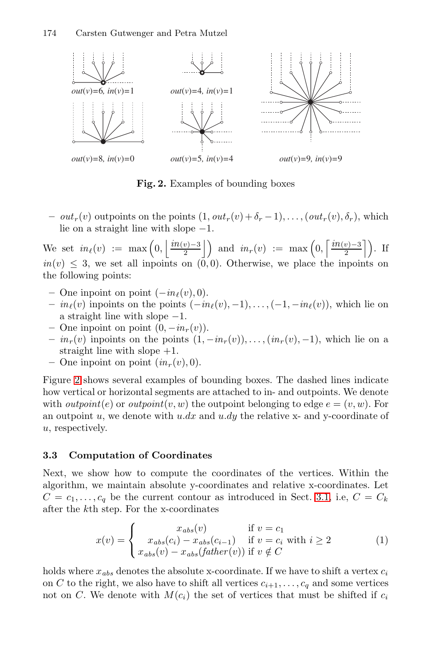

<span id="page-7-0"></span>**Fig. 2.** Examples of bounding boxes

 $-$  *out<sub>r</sub>*(*v*) outpoints on the points  $(1, out<sub>r</sub>(v) + δ<sub>r</sub> − 1),..., (out<sub>r</sub>(v), δ<sub>r</sub>),$  which lie on a straight line with slope −1.

We set  $in_{\ell}(v) := \max\left(0, \left|\frac{in(v)-3}{2}\right|\right)$  and  $in_{r}(v) := \max\left(0, \left\lceil \frac{in(v)-3}{2}\right\rceil\right)$ . If  $in(v) \leq 3$ , we set all inpoints on  $(0,0)$ . Otherwise, we place the inpoints on the following points:

- − One inpoint on point  $(-in_{\ell}(v), 0)$ .
- $in_{\ell}(v)$  inpoints on the points  $(-in_{\ell}(v), -1),...,(-1, -in_{\ell}(v))$ , which lie on a straight line with slope  $-1$ .
- − One inpoint on point  $(0, -in_r(v))$ .
- $-$  *in*<sub>r</sub>(v) inpoints on the points  $(1, -in_r(v)), \ldots, (in_r(v), -1)$ , which lie on a straight line with slope +1.
- $\sim$  One inpoint on point  $(in_r(v), 0)$ .

Figure [2](#page-7-0) shows several examples of bounding boxes. The dashed lines indicate how vertical or horizontal segments are attached to in- and outpoints. We denote with *outpoint*(e) or *outpoint*(v, w) the outpoint belonging to edge  $e = (v, w)$ . For an outpoint u, we denote with  $u \, dx$  and  $u \, dy$  the relative x- and y-coordinate of u, respectively.

### **3.3 Computation of Coordinates**

Next, we show how to compute the coordinates of the vertices. Within the algorithm, we maintain absolute y-coordinates and relative x-coordinates. Let  $C = c_1, \ldots, c_q$  be the current contour as introduced in Sect. [3.1,](#page-4-0) i.e,  $C = C_k$ after the kth step. For the x-coordinates

$$
x(v) = \begin{cases} x_{abs}(v) & \text{if } v = c_1 \\ x_{abs}(c_i) - x_{abs}(c_{i-1}) & \text{if } v = c_i \text{ with } i \ge 2 \\ x_{abs}(v) - x_{abs}(father(v)) & \text{if } v \notin C \end{cases}
$$
(1)

<span id="page-7-1"></span>holds where  $x_{abs}$  denotes the absolute x-coordinate. If we have to shift a vertex  $c_i$ on C to the right, we also have to shift all vertices  $c_{i+1},\ldots,c_q$  and some vertices not on C. We denote with  $M(c_i)$  the set of vertices that must be shifted if  $c_i$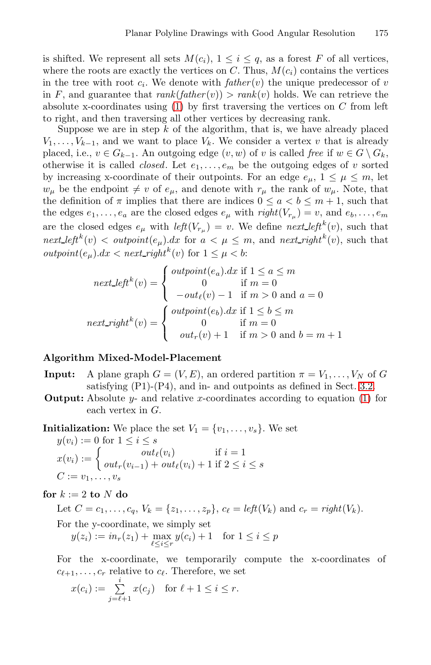is shifted. We represent all sets  $M(c_i)$ ,  $1 \leq i \leq q$ , as a forest F of all vertices, where the roots are exactly the vertices on  $C$ . Thus,  $M(c_i)$  contains the vertices in the tree with root  $c_i$ . We denote with  $father(v)$  the unique predecessor of v in F, and guarantee that  $rank(father(v)) > rank(v)$  holds. We can retrieve the absolute x-coordinates using  $(1)$  by first traversing the vertices on C from left to right, and then traversing all other vertices by decreasing rank.

Suppose we are in step  $k$  of the algorithm, that is, we have already placed  $V_1, \ldots, V_{k-1}$ , and we want to place  $V_k$ . We consider a vertex v that is already placed, i.e.,  $v \in G_{k-1}$ . An outgoing edge  $(v, w)$  of v is called *free* if  $w \in G \setminus G_k$ , otherwise it is called *closed*. Let  $e_1, \ldots, e_m$  be the outgoing edges of v sorted by increasing x-coordinate of their outpoints. For an edge  $e_{\mu}$ ,  $1 \leq \mu \leq m$ , let  $w_{\mu}$  be the endpoint  $\neq v$  of  $e_{\mu}$ , and denote with  $r_{\mu}$  the rank of  $w_{\mu}$ . Note, that the definition of  $\pi$  implies that there are indices  $0 \le a < b \le m+1$ , such that the edges  $e_1, \ldots, e_a$  are the closed edges  $e_\mu$  with  $\text{right}(V_{r_\mu}) = v$ , and  $e_b, \ldots, e_m$ are the closed edges  $e_{\mu}$  with  $left(V_{r_{\mu}}\right) = v$ . We define *next\_left*<sup>k</sup>(v), such that *next left*<sup>k</sup>(v) < *outpoint*(e<sub>u</sub>).dx for  $a < \mu \leq m$ , and *next\_right*<sup>k</sup>(v), such that *outpoint* $(e_{\mu})$ .dx < *next\_right*<sup>k</sup> $(v)$  for  $1 \leq \mu < b$ :

$$
next\_left^k(v) = \begin{cases} \text{output}(e_a).dx \text{ if } 1 \le a \le m \\ 0 & \text{if } m = 0 \\ -\text{out}_{\ell}(v) - 1 & \text{if } m > 0 \text{ and } a = 0 \end{cases}
$$

$$
next\_right^k(v) = \begin{cases} \text{output}(e_b).dx \text{ if } 1 \le b \le m \\ 0 & \text{if } m = 0 \\ \text{out}_r(v) + 1 & \text{if } m > 0 \text{ and } b = m + 1 \end{cases}
$$

#### **Algorithm Mixed-Model-Placement**

- **Input:** A plane graph  $G = (V, E)$ , an ordered partition  $\pi = V_1, \ldots, V_N$  of G satisfying (P1)-(P4), and in- and outpoints as defined in Sect. [3.2.](#page-6-0)
- **Output:** Absolute y- and relative x-coordinates according to equation [\(1\)](#page-7-1) for each vertex in G.

**Initialization:** We place the set  $V_1 = \{v_1, \ldots, v_s\}$ . We set

$$
y(v_i) := 0 \text{ for } 1 \le i \le s
$$
  
\n
$$
x(v_i) := \begin{cases} \n\text{out}_{\ell}(v_i) & \text{if } i = 1 \\ \n\text{out}_{r}(v_{i-1}) + \text{out}_{\ell}(v_i) + 1 & \text{if } 2 \le i \le s \n\end{cases}
$$
  
\n
$$
C := v_1, \dots, v_s
$$

**for**  $k := 2$  **to**  $N$  **do** 

Let  $C = c_1, \ldots, c_q$ ,  $V_k = \{z_1, \ldots, z_n\}$ ,  $c_\ell = \ell eft(V_k)$  and  $c_r = \text{right}(V_k)$ . For the y-coordinate, we simply set  $y(z_i) := in_r(z_1) + \max_{\ell \le i \le r} y(c_i) + 1$  for  $1 \le i \le p$ 

For the x-coordinate, we temporarily compute the x-coordinates of  $c_{\ell+1},\ldots,c_r$  relative to  $c_{\ell}$ . Therefore, we set i

$$
x(c_i) := \sum_{j=\ell+1}^i x(c_j) \quad \text{for } \ell+1 \le i \le r.
$$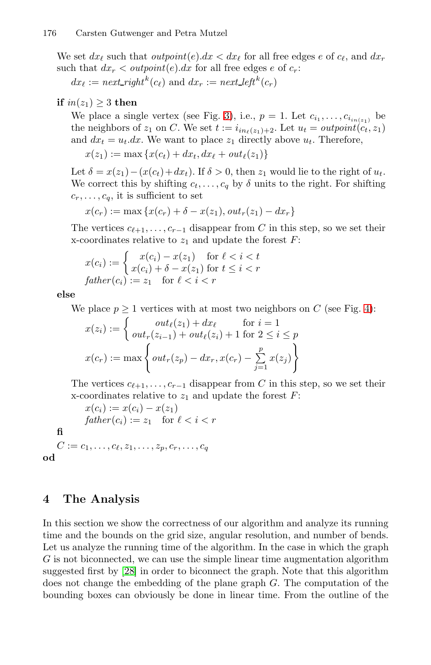We set  $dx_\ell$  such that  $output(e).dx < dx_\ell$  for all free edges e of  $c_\ell$ , and  $dx_r$ such that  $dx_r < outputmath>out(e) dx$  for all free edges e of  $c_r$ .

 $dx_{\ell} := next\_right^{k}(c_{\ell})$  and  $dx_{r} := next\_left^{k}(c_{r})$ 

**if**  $in(z_1) \geq 3$  **then** 

We place a single vertex (see Fig. [3\)](#page-10-0), i.e.,  $p = 1$ . Let  $c_{i_1}, \ldots, c_{i_{in(z_1)}}$  be the neighbors of  $z_1$  on C. We set  $t := i_{in_{\ell}(z_1)+2}$ . Let  $u_t = \text{output}(c_t, z_1)$ and  $dx_t = u_t dx$ . We want to place  $z_1$  directly above  $u_t$ . Therefore,

$$
x(z_1) := \max \{ x(c_t) + dx_t, dx_{\ell} + out_{\ell}(z_1) \}
$$

Let  $\delta = x(z_1) - (x(c_t) + dx_t)$ . If  $\delta > 0$ , then  $z_1$  would lie to the right of  $u_t$ . We correct this by shifting  $c_t, \ldots, c_q$  by  $\delta$  units to the right. For shifting  $c_r, \ldots, c_q$ , it is sufficient to set

$$
x(c_r) := \max \{ x(c_r) + \delta - x(z_1), out_r(z_1) - dx_r \}
$$

The vertices  $c_{\ell+1},\ldots,c_{r-1}$  disappear from C in this step, so we set their x-coordinates relative to  $z_1$  and update the forest  $F$ :

$$
x(c_i) := \begin{cases} x(c_i) - x(z_1) & \text{for } \ell < i < t \\ x(c_i) + \delta - x(z_1) & \text{for } t \le i < r \end{cases}
$$
\n
$$
father(c_i) := z_1 \quad \text{for } \ell < i < r
$$

**else**

We place  $p \ge 1$  vertices with at most two neighbors on C (see Fig. [4\)](#page-10-1):

$$
x(z_i) := \left\{ \begin{array}{ll} out_{\ell}(z_1) + dx_{\ell} & \text{for } i = 1\\ out_{r}(z_{i-1}) + out_{\ell}(z_i) + 1 & \text{for } 2 \le i \le p \end{array} \right.
$$

$$
x(c_r) := \max \left\{ out_{r}(z_p) - dx_{r}, x(c_r) - \sum_{j=1}^{p} x(z_j) \right\}
$$

The vertices  $c_{\ell+1},\ldots,c_{r-1}$  disappear from C in this step, so we set their x-coordinates relative to  $z_1$  and update the forest  $F$ :

 $x(c_i) := x(c_i) - x(z_1)$  $father(c_i) := z_1$  for  $\ell < i < r$ **fi**  $C := c_1, \ldots, c_{\ell}, z_1, \ldots, z_p, c_r, \ldots, c_q$ **od**

## <span id="page-9-0"></span>**4 The Analysis**

In this section we show the correctness of our algorithm and analyze its running time and the bounds on the grid size, angular resolution, and number of bends. Let us analyze the running time of the algorithm. In the case in which the graph G is not biconnected, we can use the simple linear time augmentation algorithm suggested first by [\[28\]](#page-15-9) in order to biconnect the graph. Note that this algorithm does not change the embedding of the plane graph G. The computation of the bounding boxes can obviously be done in linear time. From the outline of the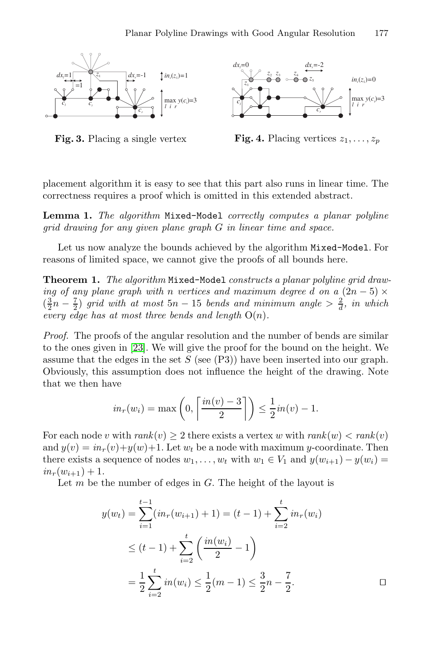

<span id="page-10-0"></span>**Fig. 3.** Placing a single vertex



<span id="page-10-1"></span>**Fig. 4.** Placing vertices  $z_1, \ldots, z_p$ 

placement algorithm it is easy to see that this part also runs in linear time. The correctness requires a proof which is omitted in this extended abstract.

**Lemma 1.** *The algorithm* Mixed-Model *correctly computes a planar polyline grid drawing for any given plane graph* G *in linear time and space.*

Let us now analyze the bounds achieved by the algorithm Mixed-Model. For reasons of limited space, we cannot give the proofs of all bounds here.

**Theorem 1.** *The algorithm* Mixed-Model *constructs a planar polyline grid drawing of any plane graph with* n *vertices and maximum degree* d *on a*  $(2n-5) \times$  $\left(\frac{3}{2}n - \frac{7}{2}\right)$  grid with at most  $5n - 15$  bends and minimum angle  $> \frac{2}{d}$ , in which *every edge has at most three bends and length*  $O(n)$ *.* 

*Proof.* The proofs of the angular resolution and the number of bends are similar to the ones given in [\[23\]](#page-14-3). We will give the proof for the bound on the height. We assume that the edges in the set  $S$  (see (P3)) have been inserted into our graph. Obviously, this assumption does not influence the height of the drawing. Note that we then have

$$
in_r(w_i) = \max\left(0, \left\lceil \frac{in(v) - 3}{2} \right\rceil\right) \le \frac{1}{2}in(v) - 1.
$$

For each node v with  $rank(v) \geq 2$  there exists a vertex w with  $rank(w) < rank(v)$ and  $y(v) = in_r(v) + y(w) + 1$ . Let  $w_t$  be a node with maximum y-coordinate. Then there exists a sequence of nodes  $w_1, \ldots, w_t$  with  $w_1 \in V_1$  and  $y(w_{i+1}) - y(w_i) =$  $in_r(w_{i+1}) + 1.$ 

Let  $m$  be the number of edges in  $G$ . The height of the layout is

$$
y(w_t) = \sum_{i=1}^{t-1} (in_r(w_{i+1}) + 1) = (t - 1) + \sum_{i=2}^{t} in_r(w_i)
$$
  
\n
$$
\leq (t - 1) + \sum_{i=2}^{t} \left(\frac{in(w_i)}{2} - 1\right)
$$
  
\n
$$
= \frac{1}{2} \sum_{i=2}^{t} in(w_i) \leq \frac{1}{2}(m - 1) \leq \frac{3}{2}n - \frac{7}{2}.
$$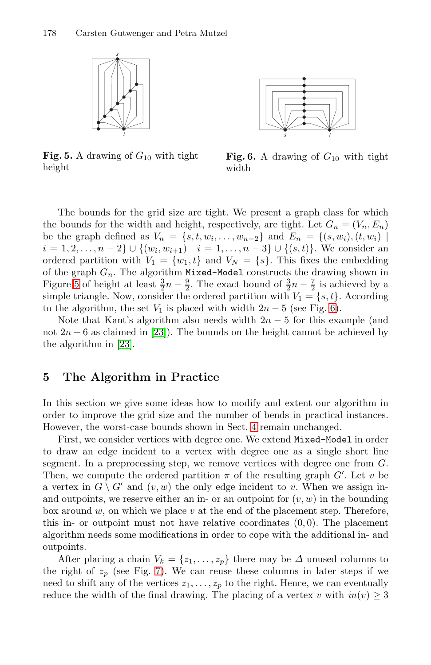

*s t*

<span id="page-11-1"></span>**Fig. 5.** A drawing of  $G_{10}$  with tight height

<span id="page-11-2"></span>**Fig. 6.** A drawing of  $G_{10}$  with tight width

The bounds for the grid size are tight. We present a graph class for which the bounds for the width and height, respectively, are tight. Let  $G_n = (V_n, E_n)$ be the graph defined as  $V_n = \{s, t, w_i, \ldots, w_{n-2}\}\$ and  $E_n = \{(s, w_i), (t, w_i) \mid$  $i = 1, 2, \ldots, n-2$   $\cup$   $\{(w_i, w_{i+1}) \mid i = 1, \ldots, n-3\}$   $\cup$   $\{(s, t)\}\)$ . We consider an ordered partition with  $V_1 = \{w_1, t\}$  and  $V_N = \{s\}$ . This fixes the embedding of the graph  $G_n$ . The algorithm Mixed-Model constructs the drawing shown in Figure [5](#page-11-1) of height at least  $\frac{3}{2}n - \frac{9}{2}$ . The exact bound of  $\frac{3}{2}n - \frac{7}{2}$  is achieved by a simple triangle. Now, consider the ordered partition with  $V_1 = \{s, t\}$ . According to the algorithm, the set  $V_1$  is placed with width  $2n-5$  (see Fig. [6\)](#page-11-2).

Note that Kant's algorithm also needs width  $2n-5$  for this example (and not  $2n-6$  as claimed in [\[23\]](#page-14-3)). The bounds on the height cannot be achieved by the algorithm in [\[23\]](#page-14-3).

## <span id="page-11-0"></span>**5 The Algorithm in Practice**

In this section we give some ideas how to modify and extent our algorithm in order to improve the grid size and the number of bends in practical instances. However, the worst-case bounds shown in Sect. [4](#page-9-0) remain unchanged.

First, we consider vertices with degree one. We extend Mixed-Model in order to draw an edge incident to a vertex with degree one as a single short line segment. In a preprocessing step, we remove vertices with degree one from G. Then, we compute the ordered partition  $\pi$  of the resulting graph  $G'$ . Let v be a vertex in  $G \setminus G'$  and  $(v, w)$  the only edge incident to v. When we assign inand outpoints, we reserve either an in- or an outpoint for  $(v, w)$  in the bounding box around  $w$ , on which we place  $v$  at the end of the placement step. Therefore, this in- or outpoint must not have relative coordinates  $(0,0)$ . The placement algorithm needs some modifications in order to cope with the additional in- and outpoints.

After placing a chain  $V_k = \{z_1, \ldots, z_p\}$  there may be  $\Delta$  unused columns to the right of  $z_p$  (see Fig. [7\)](#page-12-0). We can reuse these columns in later steps if we need to shift any of the vertices  $z_1, \ldots, z_p$  to the right. Hence, we can eventually reduce the width of the final drawing. The placing of a vertex v with  $in(v) \geq 3$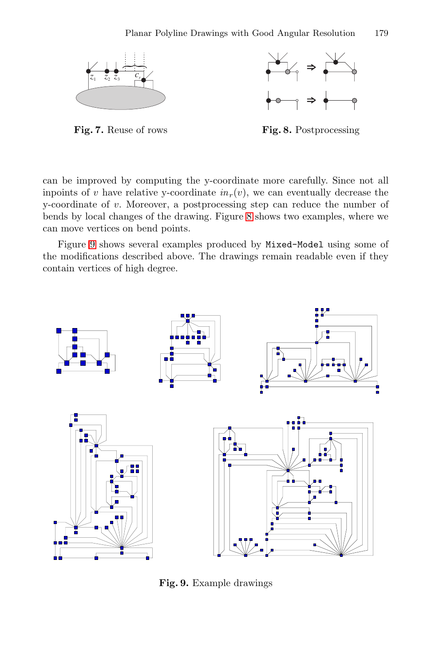

<span id="page-12-1"></span>

<span id="page-12-0"></span>**Fig. 7.** Reuse of rows **Fig. 8.** Postprocessing

can be improved by computing the y-coordinate more carefully. Since not all inpoints of v have relative y-coordinate  $in_r(v)$ , we can eventually decrease the y-coordinate of v. Moreover, a postprocessing step can reduce the number of bends by local changes of the drawing. Figure [8](#page-12-1) shows two examples, where we can move vertices on bend points.

Figure [9](#page-12-2) shows several examples produced by Mixed-Model using some of the modifications described above. The drawings remain readable even if they contain vertices of high degree.



<span id="page-12-2"></span>**Fig. 9.** Example drawings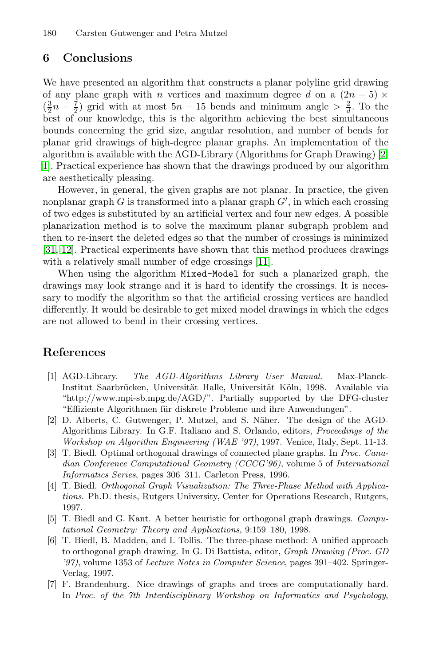### **6 Conclusions**

We have presented an algorithm that constructs a planar polyline grid drawing of any plane graph with *n* vertices and maximum degree d on a  $(2n - 5) \times$  $(\frac{3}{2}n-\frac{7}{2})$  grid with at most  $5n-15$  bends and minimum angle  $>\frac{2}{d}$ . To the best of our knowledge, this is the algorithm achieving the best simultaneous bounds concerning the grid size, angular resolution, and number of bends for planar grid drawings of high-degree planar graphs. An implementation of the algorithm is available with the AGD-Library (Algorithms for Graph Drawing) [\[2,](#page-13-5) [1\]](#page-13-6). Practical experience has shown that the drawings produced by our algorithm are aesthetically pleasing.

However, in general, the given graphs are not planar. In practice, the given nonplanar graph G is transformed into a planar graph  $G'$ , in which each crossing of two edges is substituted by an artificial vertex and four new edges. A possible planarization method is to solve the maximum planar subgraph problem and then to re-insert the deleted edges so that the number of crossings is minimized [\[31,](#page-15-7) [12\]](#page-14-13). Practical experiments have shown that this method produces drawings with a relatively small number of edge crossings [\[11\]](#page-14-7).

When using the algorithm Mixed-Model for such a planarized graph, the drawings may look strange and it is hard to identify the crossings. It is necessary to modify the algorithm so that the artificial crossing vertices are handled differently. It would be desirable to get mixed model drawings in which the edges are not allowed to bend in their crossing vertices.

### <span id="page-13-6"></span>**References**

- [1] AGD-Library. The AGD-Algorithms Library User Manual. Max-Planck-Institut Saarbrücken, Universität Halle, Universität Köln, 1998. Available via "http://www.mpi-sb.mpg.de/AGD/". Partially supported by the DFG-cluster "Effiziente Algorithmen für diskrete Probleme und ihre Anwendungen".
- <span id="page-13-5"></span>[2] D. Alberts, C. Gutwenger, P. Mutzel, and S. Näher. The design of the AGD-Algorithms Library. In G.F. Italiano and S. Orlando, editors, Proceedings of the Workshop on Algorithm Engineering (WAE '97), 1997. Venice, Italy, Sept. 11-13.
- <span id="page-13-1"></span>[3] T. Biedl. Optimal orthogonal drawings of connected plane graphs. In Proc. Canadian Conference Computational Geometry (CCCG'96), volume 5 of International Informatics Series, pages 306–311. Carleton Press, 1996.
- <span id="page-13-4"></span>[4] T. Biedl. Orthogonal Graph Visualization: The Three-Phase Method with Applications. Ph.D. thesis, Rutgers University, Center for Operations Research, Rutgers, 1997.
- <span id="page-13-2"></span>[5] T. Biedl and G. Kant. A better heuristic for orthogonal graph drawings. Computational Geometry: Theory and Applications, 9:159–180, 1998.
- <span id="page-13-3"></span>[6] T. Biedl, B. Madden, and I. Tollis. The three-phase method: A unified approach to orthogonal graph drawing. In G. Di Battista, editor, Graph Drawing (Proc. GD '97), volume 1353 of Lecture Notes in Computer Science, pages 391–402. Springer-Verlag, 1997.
- <span id="page-13-0"></span>[7] F. Brandenburg. Nice drawings of graphs and trees are computationally hard. In Proc. of the 7th Interdisciplinary Workshop on Informatics and Psychology,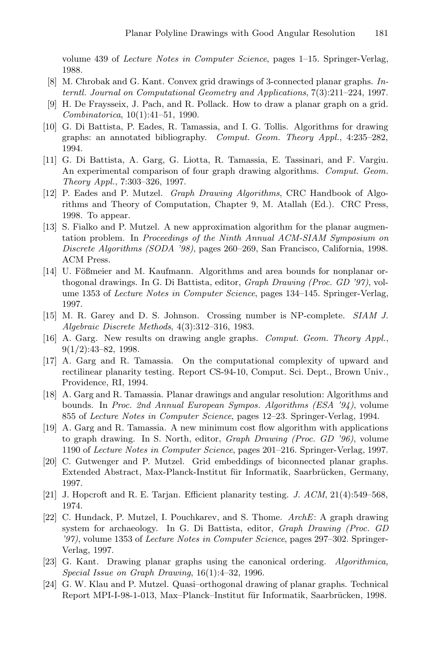volume 439 of Lecture Notes in Computer Science, pages 1–15. Springer-Verlag, 1988.

- <span id="page-14-4"></span>[8] M. Chrobak and G. Kant. Convex grid drawings of 3-connected planar graphs. Interntl. Journal on Computational Geometry and Applications, 7(3):211–224, 1997.
- <span id="page-14-2"></span>[9] H. De Fraysseix, J. Pach, and R. Pollack. How to draw a planar graph on a grid. Combinatorica, 10(1):41–51, 1990.
- [10] G. Di Battista, P. Eades, R. Tamassia, and I. G. Tollis. Algorithms for drawing graphs: an annotated bibliography. Comput. Geom. Theory Appl., 4:235–282, 1994.
- <span id="page-14-7"></span>[11] G. Di Battista, A. Garg, G. Liotta, R. Tamassia, E. Tassinari, and F. Vargiu. An experimental comparison of four graph drawing algorithms. Comput. Geom. Theory Appl., 7:303–326, 1997.
- <span id="page-14-13"></span>[12] P. Eades and P. Mutzel. Graph Drawing Algorithms, CRC Handbook of Algorithms and Theory of Computation, Chapter 9, M. Atallah (Ed.). CRC Press, 1998. To appear.
- <span id="page-14-12"></span>[13] S. Fialko and P. Mutzel. A new approximation algorithm for the planar augmentation problem. In Proceedings of the Ninth Annual ACM-SIAM Symposium on Discrete Algorithms (SODA '98), pages 260–269, San Francisco, California, 1998. ACM Press.
- <span id="page-14-9"></span>[14] U. Fößmeier and M. Kaufmann. Algorithms and area bounds for nonplanar orthogonal drawings. In G. Di Battista, editor, Graph Drawing (Proc. GD '97), volume 1353 of Lecture Notes in Computer Science, pages 134–145. Springer-Verlag, 1997.
- <span id="page-14-0"></span>[15] M. R. Garey and D. S. Johnson. Crossing number is NP-complete. SIAM J. Algebraic Discrete Methods, 4(3):312–316, 1983.
- [16] A. Garg. New results on drawing angle graphs. Comput. Geom. Theory Appl.,  $9(1/2):43-82, 1998.$
- <span id="page-14-6"></span>[17] A. Garg and R. Tamassia. On the computational complexity of upward and rectilinear planarity testing. Report CS-94-10, Comput. Sci. Dept., Brown Univ., Providence, RI, 1994.
- <span id="page-14-5"></span>[18] A. Garg and R. Tamassia. Planar drawings and angular resolution: Algorithms and bounds. In Proc. 2nd Annual European Sympos. Algorithms (ESA '94), volume 855 of Lecture Notes in Computer Science, pages 12–23. Springer-Verlag, 1994.
- <span id="page-14-8"></span>[19] A. Garg and R. Tamassia. A new minimum cost flow algorithm with applications to graph drawing. In S. North, editor, Graph Drawing (Proc. GD '96), volume 1190 of Lecture Notes in Computer Science, pages 201–216. Springer-Verlag, 1997.
- <span id="page-14-11"></span>[20] C. Gutwenger and P. Mutzel. Grid embeddings of biconnected planar graphs. Extended Abstract, Max-Planck-Institut für Informatik, Saarbrücken, Germany, 1997.
- <span id="page-14-1"></span>[21] J. Hopcroft and R. E. Tarjan. Efficient planarity testing. J.  $ACM$ ,  $21(4):549-568$ , 1974.
- [22] C. Hundack, P. Mutzel, I. Pouchkarev, and S. Thome. ArchE: A graph drawing system for archaeology. In G. Di Battista, editor, Graph Drawing (Proc. GD '97), volume 1353 of Lecture Notes in Computer Science, pages 297–302. Springer-Verlag, 1997.
- <span id="page-14-3"></span>[23] G. Kant. Drawing planar graphs using the canonical ordering. Algorithmica, Special Issue on Graph Drawing, 16(1):4–32, 1996.
- <span id="page-14-10"></span>[24] G. W. Klau and P. Mutzel. Quasi–orthogonal drawing of planar graphs. Technical Report MPI-I-98-1-013, Max–Planck–Institut für Informatik, Saarbrücken, 1998.